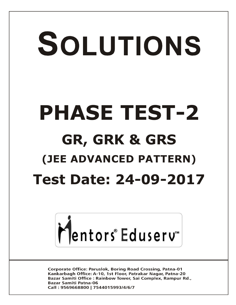## SOLUTIONS **PHASE TEST-2 GR, GRK & GRS (JEE ADVANCED PATTERN)Test Date: 24-09-2017**



**Corporate Office: Paruslok, Boring Road Crossing, Patna-01** Kankarbagh Office: A-10, 1st Floor, Patrakar Nagar, Patna-20 Bazar Samiti Office: Rainbow Tower, Sai Complex, Rampur Rd., **Bazar Samiti Patna-06** Call: 9569668800 | 7544015993/4/6/7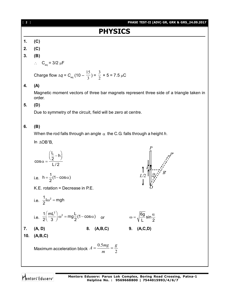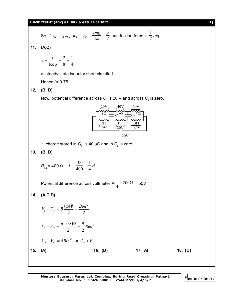## **PHASE TEST-II (ADV) GR, GRK & GRS\_24.09.2017** [ **3** ]

So, if 
$$
M = 2m
$$
,  $a_A = a_B = \frac{2mg}{4m} = \frac{g}{2}$  and friction force is  $\frac{1}{2}mg$ .

**11. (A,C)**

$$
\tau = \frac{L}{\text{Re }q} = \frac{2}{8} = \frac{1}{4}
$$

at steady state inductor short circuited

Hence *i* = 0.75

## **12. (B, D)**

Now, potential difference across  $\mathsf{C}_\text{\tiny{1}}$  is 20 V and across  $\mathsf{C}_\text{\tiny{2}}$  is zero.



 $\therefore$  charge stored in  $C_1$  is 40  $\mu$ C and in  $C_2$  is zero.

**13. (B, D)**

$$
R_{\text{eq}} = 400 \ \Omega, \quad I = \frac{100}{400} = \frac{1}{4} A
$$

Potential difference across voltmeter  $=$   $\frac{1}{4} \times 200\Omega$ 4 1 = 50V

$$
14. (A, C, D)
$$

$$
V_0 - V_A = B \frac{(\omega l)l}{2} = \frac{B\omega l^2}{2}
$$

$$
V_0 - V_C = \frac{B\omega (3l)3l}{2} = \frac{9}{2} B\omega l^2
$$

$$
V_A - V_C = 4B\omega l^2 \text{ or } V_A > V_C
$$

**15. (A) 16. (D) 17. A) 18. (D)**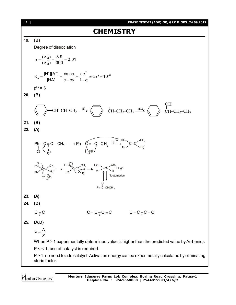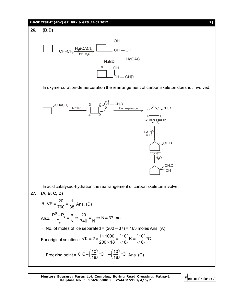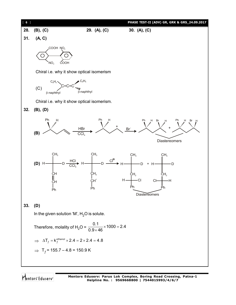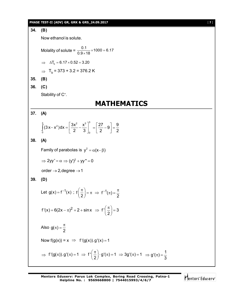## **PHASE TEST-II (ADV) GR, GRK & GRS\_24.09.2017** [ **7** ] **34. (B)** Now ethanol is solute. Molality of solute =  $\frac{0.1}{0.9 \times 18}$  × 1000 = 6.17  $\Rightarrow \Delta T_b = 6.17 \times 0.52 = 3.20$  $\Rightarrow$  T<sub>b</sub> = 373 + 3.2 = 376.2 K **35. (B) 36. (C)** Stability of C<sup>+</sup>. **MATHEMATICS 37. (A)**  $\int_{1}^{3}$   $(3x - x^2)dx = \left[3x^2 + x^3\right]^{3}$ 0 L C J 0  $(3x-x^2)dx = \frac{3x^2}{2}-\frac{x^3}{2}$ 2 3  $\int_{0}^{3} (3x-x^2) dx = \left[ \frac{3x^2}{2} - \frac{x^3}{3} \right]_{0}^{3} = \left[ \frac{27}{2} - 9 \right] = \frac{9}{2}$ 2 <sup>2</sup>  $=\left[\frac{27}{2}-9\right]=\frac{9}{2}$ **38. (A)** Family of parabolas is  $y^2 = \alpha(x-\beta)$  $\Rightarrow$  2yy' =  $\alpha \Rightarrow (y')^2 + yy'' = 0$ order  $\rightarrow$  2, degree  $\rightarrow$  1 **39. (D)** Let  $g(x) = f^{-1}(x)$ ; f 2  $\left(\frac{\pi}{2}\right) = \pi \Rightarrow f^{-1}(\pi) =$ 2  $^{-1}(\pi) = \frac{\pi}{2}$  $f'(x) = 6(2x - \pi)^2 + 2 + \sin x \implies f'\left(\frac{\pi}{2}\right) = 3$ 2  $=6(2x-\pi)^2+2+\sin x$   $\Rightarrow$   $f'\left(\frac{\pi}{2}\right)=3$ Also  $\mathsf{g}(\pi)$  : 2  $\pi$ ) =  $\frac{\pi}{2}$ Now  $f(g(x)) = x \implies f'(g(x)). g'(x) = 1$  $\Rightarrow f'(g(\pi)) \cdot g'(\pi) = 1 \Rightarrow f'\left(\frac{\pi}{2}\right) \cdot g'(\pi) = 1 \Rightarrow 3g'(\pi) = 1$  $(\pi)$ ).g'( $\pi$ ) = 1  $\Rightarrow$  f' $\left(\frac{\pi}{2}\right)$ .g'( $\pi$ ) = 1  $\Rightarrow$  3g'( $\pi$ ) = 1  $\Rightarrow$  g'( $\pi$ ) =  $\frac{1}{3}$ 3  $\pi) = \frac{1}{2}$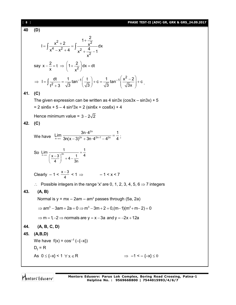HASETIST-II (ADV) GR, GRR & SRS 24,09.2017  
\n
$$
I = \int \frac{x^2 + 2}{x^4 - x^2 + 4} = \int \frac{1 + \frac{2}{x^2}}{x^2 + \frac{4}{x^2}} dx
$$
\n
$$
Say x - \frac{2}{x} = t \Rightarrow \left(1 + \frac{2}{x^2}\right) dx = dt
$$
\n
$$
\Rightarrow I = \int \frac{dt}{t^2 + 3} = \frac{1}{\sqrt{3}} \tan^{-1}\left(\frac{t}{\sqrt{3}}\right) + c = \frac{1}{\sqrt{3}} \tan^{-1}\left(\frac{x^2 - 2}{\sqrt{3}x}\right) + c
$$
\n41. (C)  
\nThe given expression can be written as 4 sin 3x (cos 3x - sin 3x) + 5  
\n= 2 sin 6x + 5 - 4 sin<sup>2</sup>3x = 2 (sin 6x + cos 6x) + 4  
\nHence minimum value = 3 - 2 $\sqrt{2}$   
\n42. (C)  
\nWe have  $\lim_{n \to \infty} \frac{3n \cdot 4^{2n}}{3n(x - 3)^{2n} + 3n \cdot 4^{2n-1} - 4^{2n}} = \frac{1}{4}$ ;  
\nSo  $\lim_{n \to \infty} \frac{1}{\left(\frac{x - 3}{4}\right)^{2n} + 4 - \frac{1}{3n}} = \frac{1}{4}$   
\nClearly -1  $\leq \frac{x - 3}{4} < 1 \Rightarrow -1 \leq x < 7$   
\n∴ Possible integers in the range 'x' are 0, 1, 2, 3, 4, 5, 6 ⇒ 7 integers  
\n43. (A, B)  
\nNormal is y = mx - 2am - am<sup>3</sup> passes through (5a, 2a)  
\n⇒ am<sup>3</sup> - 3am + 2a = 0 ⇒ m<sup>3</sup> - 3m + 2 = 0, (m - 1)(m<sup>2</sup> + m - 2) = 0  
\n⇒ m = 1 - 2 ⇒ normals are y = x - 3a and y = -2x + 12a  
\n44. (A, B, C, D)  
\nWe have f(x) = cos<sup>-1</sup> (- $\leq x$ )  
\nD<sub>+</sub> = R  
\nAs 0  $\leq$  (-x

Mentors<sup>e</sup> Eduserv<sup>-</sup>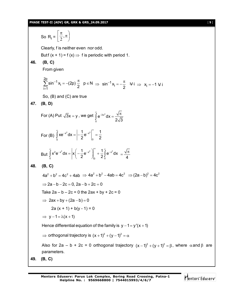**PHASE TEST-II (ADV) GR, GRK & GRS\_24.09.2017** [ 9]

So 
$$
R_f = \left[\frac{\pi}{2}, \pi\right]
$$
  
\nClearly, f is neither even nor odd.  
\nBut  $f(x + 1) = f(x) \Rightarrow f$  is periodic with period 1.  
\n46. **(B, C)**  
\nFrom given  
\n
$$
\sum_{i=1}^{2D} \sin^{-1} x_i = -(2p) \frac{\pi}{2} \quad p \in N \Rightarrow \sin^{-1} x_i = -\frac{\pi}{2} \quad \forall i \Rightarrow x_i = -1 \quad \forall i
$$
\nSo, (B) and (C) are true  
\n47. **(B, D)**  
\nFor (A) Put  $\sqrt{3}x = y$ , we get  $\int_0^2 e^{-3x^2} dx = \frac{\sqrt{\pi}}{2\sqrt{3}}$   
\nFor (B)  $\int_0^{\pi} xe^{-x^2} dx = \left| -\frac{1}{2}e^{-x^2} \right|_0^{\pi} = \frac{1}{2}$   
\nBut  $\int_0^{\pi} x^2 e^{-x^2} dx = \left| x \left( -\frac{1}{2}e^{-x^2} \right) \right|_0^{\pi} + \frac{1}{2} \int_0^2 e^{-x^2} dx = \frac{\sqrt{\pi}}{4}$   
\n48. **(B, C)**  
\n $4a^2 + b^2 = 4c^2 + 4ab \Rightarrow 4a^2 + b^2 - 4ab = 4c^2 \Rightarrow (2a - b)^2 = 4c^2$   
\n $\Rightarrow 2a - b - 2c = 0$ ,  $2a - b + 2c = 0$   
\nTake  $2a - b - 2c = 0$  the  $2ax + by + 2c = 0$   
\n $\Rightarrow 2ax + by + (2a - b) = 0$   
\n $2ax + by + (2a - b) = 0$   
\n $2ax + by + (2a - b) = 0$   
\n $\Rightarrow y - 1 = \lambda(x + 1)$   
\nHence differential equation of the family is  $y - 1 = y'(x + 1)$   
\n $\Rightarrow$  orthogonal trajectory is  $(x + 1)^2 + (y - 1)^2 = \alpha$   
\nAlso for  $2a - b + 2c = 0$  orthogonal trajectory  $(x - 1)^2 + (y + 1)^2 = \beta$ , where  $\alpha$